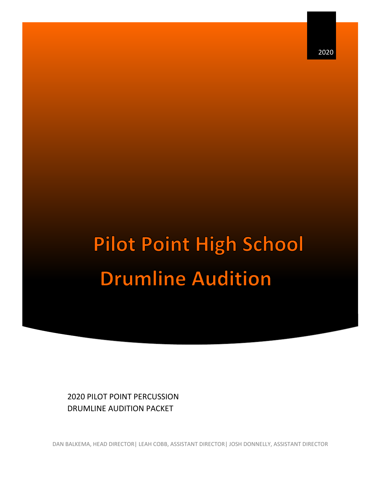2020

# **Pilot Point High School Drumline Audition**

2020 PILOT POINT PERCUSSION DRUMLINE AUDITION PACKET

DAN BALKEMA, HEAD DIRECTOR| LEAH COBB, ASSISTANT DIRECTOR| JOSH DONNELLY, ASSISTANT DIRECTOR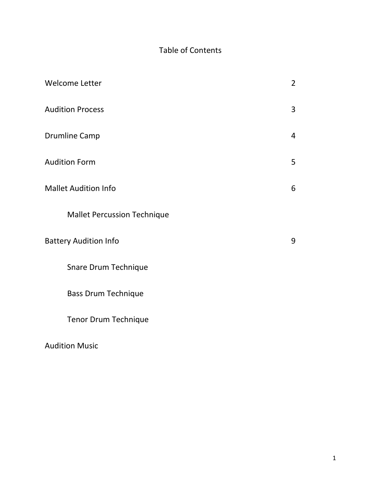#### Table of Contents

| <b>Welcome Letter</b>              | $\overline{2}$ |  |  |
|------------------------------------|----------------|--|--|
| <b>Audition Process</b>            | 3              |  |  |
| <b>Drumline Camp</b>               | $\overline{4}$ |  |  |
| <b>Audition Form</b>               | 5              |  |  |
| <b>Mallet Audition Info</b>        | 6              |  |  |
| <b>Mallet Percussion Technique</b> |                |  |  |
| <b>Battery Audition Info</b>       |                |  |  |
| Snare Drum Technique               |                |  |  |
| <b>Bass Drum Technique</b>         |                |  |  |
| <b>Tenor Drum Technique</b>        |                |  |  |

Audition Music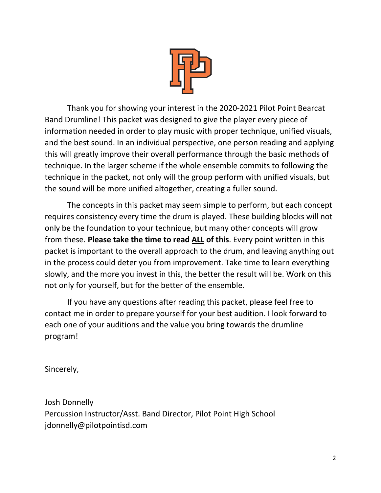

Thank you for showing your interest in the 2020-2021 Pilot Point Bearcat Band Drumline! This packet was designed to give the player every piece of information needed in order to play music with proper technique, unified visuals, and the best sound. In an individual perspective, one person reading and applying this will greatly improve their overall performance through the basic methods of technique. In the larger scheme if the whole ensemble commits to following the technique in the packet, not only will the group perform with unified visuals, but the sound will be more unified altogether, creating a fuller sound.

The concepts in this packet may seem simple to perform, but each concept requires consistency every time the drum is played. These building blocks will not only be the foundation to your technique, but many other concepts will grow from these. **Please take the time to read ALL of this**. Every point written in this packet is important to the overall approach to the drum, and leaving anything out in the process could deter you from improvement. Take time to learn everything slowly, and the more you invest in this, the better the result will be. Work on this not only for yourself, but for the better of the ensemble.

If you have any questions after reading this packet, please feel free to contact me in order to prepare yourself for your best audition. I look forward to each one of your auditions and the value you bring towards the drumline program!

Sincerely,

Josh Donnelly Percussion Instructor/Asst. Band Director, Pilot Point High School jdonnelly@pilotpointisd.com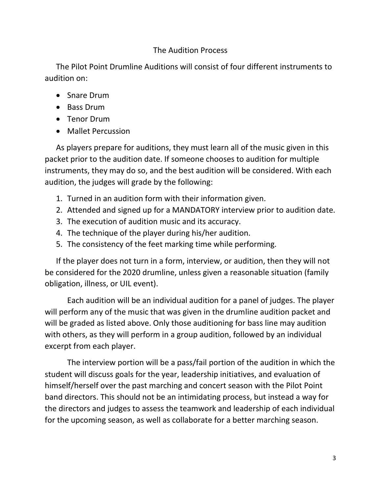#### The Audition Process

The Pilot Point Drumline Auditions will consist of four different instruments to audition on:

- Snare Drum
- Bass Drum
- Tenor Drum
- Mallet Percussion

As players prepare for auditions, they must learn all of the music given in this packet prior to the audition date. If someone chooses to audition for multiple instruments, they may do so, and the best audition will be considered. With each audition, the judges will grade by the following:

- 1. Turned in an audition form with their information given.
- 2. Attended and signed up for a MANDATORY interview prior to audition date.
- 3. The execution of audition music and its accuracy.
- 4. The technique of the player during his/her audition.
- 5. The consistency of the feet marking time while performing.

If the player does not turn in a form, interview, or audition, then they will not be considered for the 2020 drumline, unless given a reasonable situation (family obligation, illness, or UIL event).

Each audition will be an individual audition for a panel of judges. The player will perform any of the music that was given in the drumline audition packet and will be graded as listed above. Only those auditioning for bass line may audition with others, as they will perform in a group audition, followed by an individual excerpt from each player.

The interview portion will be a pass/fail portion of the audition in which the student will discuss goals for the year, leadership initiatives, and evaluation of himself/herself over the past marching and concert season with the Pilot Point band directors. This should not be an intimidating process, but instead a way for the directors and judges to assess the teamwork and leadership of each individual for the upcoming season, as well as collaborate for a better marching season.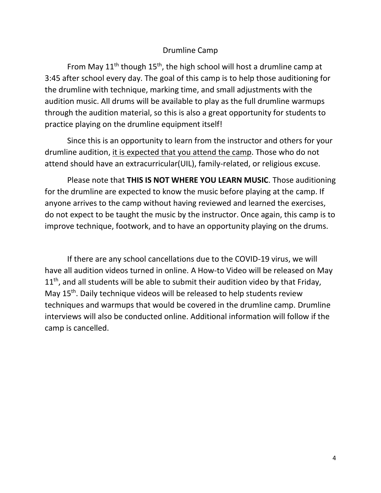#### Drumline Camp

From May  $11<sup>th</sup>$  though  $15<sup>th</sup>$ , the high school will host a drumline camp at 3:45 after school every day. The goal of this camp is to help those auditioning for the drumline with technique, marking time, and small adjustments with the audition music. All drums will be available to play as the full drumline warmups through the audition material, so this is also a great opportunity for students to practice playing on the drumline equipment itself!

Since this is an opportunity to learn from the instructor and others for your drumline audition, it is expected that you attend the camp. Those who do not attend should have an extracurricular(UIL), family-related, or religious excuse.

Please note that **THIS IS NOT WHERE YOU LEARN MUSIC**. Those auditioning for the drumline are expected to know the music before playing at the camp. If anyone arrives to the camp without having reviewed and learned the exercises, do not expect to be taught the music by the instructor. Once again, this camp is to improve technique, footwork, and to have an opportunity playing on the drums.

If there are any school cancellations due to the COVID-19 virus, we will have all audition videos turned in online. A How-to Video will be released on May  $11<sup>th</sup>$ , and all students will be able to submit their audition video by that Friday, May 15<sup>th</sup>. Daily technique videos will be released to help students review techniques and warmups that would be covered in the drumline camp. Drumline interviews will also be conducted online. Additional information will follow if the camp is cancelled.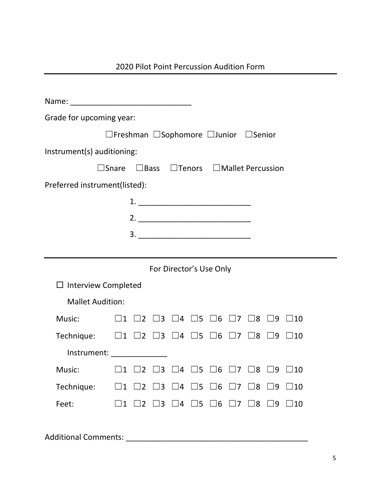| 2020 Pilot Point Percussion Audition Form |  |  |  |
|-------------------------------------------|--|--|--|
|-------------------------------------------|--|--|--|

| Grade for upcoming year:                                                                          |             |             |             |                                                                          |             |             |             |                                                                                  |             |                                                                                            |
|---------------------------------------------------------------------------------------------------|-------------|-------------|-------------|--------------------------------------------------------------------------|-------------|-------------|-------------|----------------------------------------------------------------------------------|-------------|--------------------------------------------------------------------------------------------|
| $\Box$ Freshman $\Box$ Sophomore $\Box$ Junior $\Box$ Senior                                      |             |             |             |                                                                          |             |             |             |                                                                                  |             |                                                                                            |
| Instrument(s) auditioning:                                                                        |             |             |             |                                                                          |             |             |             |                                                                                  |             |                                                                                            |
| $\Box$ Snare $\Box$ Bass $\Box$ Tenors $\Box$ Mallet Percussion                                   |             |             |             |                                                                          |             |             |             |                                                                                  |             |                                                                                            |
| Preferred instrument(listed):                                                                     |             |             |             |                                                                          |             |             |             |                                                                                  |             |                                                                                            |
|                                                                                                   |             |             |             |                                                                          |             |             |             |                                                                                  |             |                                                                                            |
|                                                                                                   |             |             |             |                                                                          |             |             |             |                                                                                  |             |                                                                                            |
|                                                                                                   |             |             |             | $\begin{array}{c}\n3. \quad \textcolor{blue}{\textbf{2.2}}\n\end{array}$ |             |             |             |                                                                                  |             |                                                                                            |
|                                                                                                   |             |             |             |                                                                          |             |             |             |                                                                                  |             |                                                                                            |
| For Director's Use Only                                                                           |             |             |             |                                                                          |             |             |             |                                                                                  |             |                                                                                            |
| $\Box$ Interview Completed                                                                        |             |             |             |                                                                          |             |             |             |                                                                                  |             |                                                                                            |
| <b>Mallet Audition:</b>                                                                           |             |             |             |                                                                          |             |             |             |                                                                                  |             |                                                                                            |
| Music: Music:                                                                                     |             |             |             |                                                                          |             |             |             |                                                                                  |             | $\Box$ 1 $\Box$ 2 $\Box$ 3 $\Box$ 4 $\Box$ 5 $\Box$ 6 $\Box$ 7 $\Box$ 8 $\Box$ 9 $\Box$ 10 |
| Technique: $\Box$ 1 $\Box$ 2 $\Box$ 3 $\Box$ 4 $\Box$ 5 $\Box$ 6 $\Box$ 7 $\Box$ 8 $\Box$ 9       |             |             |             |                                                                          |             |             |             |                                                                                  |             | $\Box$ 10                                                                                  |
| Instrument: _______________                                                                       |             |             |             |                                                                          |             |             |             |                                                                                  |             |                                                                                            |
| Music: $\Box$ 1 $\Box$ 2 $\Box$ 3 $\Box$ 4 $\Box$ 5 $\Box$ 6 $\Box$ 7 $\Box$ 8 $\Box$ 9 $\Box$ 10 |             |             |             |                                                                          |             |             |             |                                                                                  |             |                                                                                            |
| Technique:                                                                                        | $\square$ 1 | $\square$ 2 | $\square$ 3 | $\square$ 4                                                              | $\square$ 5 | $\square$ 6 | $\square$ 7 | $\square$ 8                                                                      | $\square$ 9 | $\square$ 10                                                                               |
| Feet:                                                                                             |             |             |             |                                                                          |             |             |             | $\Box$ 1 $\Box$ 2 $\Box$ 3 $\Box$ 4 $\Box$ 5 $\Box$ 6 $\Box$ 7 $\Box$ 8 $\Box$ 9 |             | $\square$ 10                                                                               |
|                                                                                                   |             |             |             |                                                                          |             |             |             |                                                                                  |             |                                                                                            |
| Additional Comments:                                                                              |             |             |             |                                                                          |             |             |             |                                                                                  |             |                                                                                            |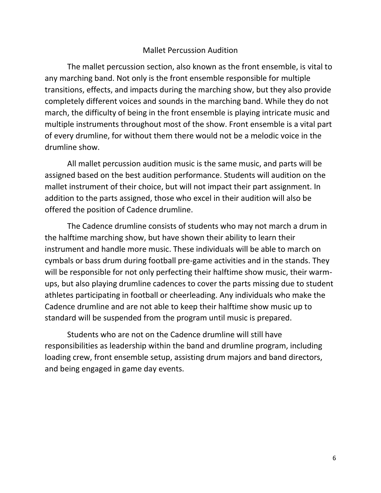#### Mallet Percussion Audition

The mallet percussion section, also known as the front ensemble, is vital to any marching band. Not only is the front ensemble responsible for multiple transitions, effects, and impacts during the marching show, but they also provide completely different voices and sounds in the marching band. While they do not march, the difficulty of being in the front ensemble is playing intricate music and multiple instruments throughout most of the show. Front ensemble is a vital part of every drumline, for without them there would not be a melodic voice in the drumline show.

All mallet percussion audition music is the same music, and parts will be assigned based on the best audition performance. Students will audition on the mallet instrument of their choice, but will not impact their part assignment. In addition to the parts assigned, those who excel in their audition will also be offered the position of Cadence drumline.

The Cadence drumline consists of students who may not march a drum in the halftime marching show, but have shown their ability to learn their instrument and handle more music. These individuals will be able to march on cymbals or bass drum during football pre-game activities and in the stands. They will be responsible for not only perfecting their halftime show music, their warmups, but also playing drumline cadences to cover the parts missing due to student athletes participating in football or cheerleading. Any individuals who make the Cadence drumline and are not able to keep their halftime show music up to standard will be suspended from the program until music is prepared.

Students who are not on the Cadence drumline will still have responsibilities as leadership within the band and drumline program, including loading crew, front ensemble setup, assisting drum majors and band directors, and being engaged in game day events.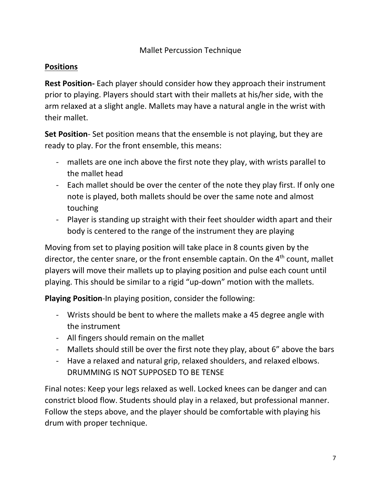#### Mallet Percussion Technique

#### **Positions**

**Rest Position-** Each player should consider how they approach their instrument prior to playing. Players should start with their mallets at his/her side, with the arm relaxed at a slight angle. Mallets may have a natural angle in the wrist with their mallet.

**Set Position**- Set position means that the ensemble is not playing, but they are ready to play. For the front ensemble, this means:

- mallets are one inch above the first note they play, with wrists parallel to the mallet head
- Each mallet should be over the center of the note they play first. If only one note is played, both mallets should be over the same note and almost touching
- Player is standing up straight with their feet shoulder width apart and their body is centered to the range of the instrument they are playing

Moving from set to playing position will take place in 8 counts given by the director, the center snare, or the front ensemble captain. On the 4<sup>th</sup> count, mallet players will move their mallets up to playing position and pulse each count until playing. This should be similar to a rigid "up-down" motion with the mallets.

**Playing Position**-In playing position, consider the following:

- Wrists should be bent to where the mallets make a 45 degree angle with the instrument
- All fingers should remain on the mallet
- Mallets should still be over the first note they play, about 6" above the bars
- Have a relaxed and natural grip, relaxed shoulders, and relaxed elbows. DRUMMING IS NOT SUPPOSED TO BE TENSE

Final notes: Keep your legs relaxed as well. Locked knees can be danger and can constrict blood flow. Students should play in a relaxed, but professional manner. Follow the steps above, and the player should be comfortable with playing his drum with proper technique.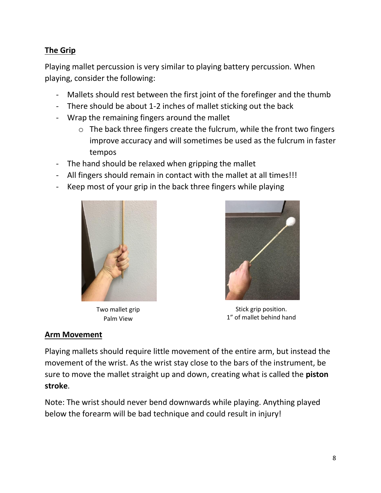#### **The Grip**

Playing mallet percussion is very similar to playing battery percussion. When playing, consider the following:

- Mallets should rest between the first joint of the forefinger and the thumb
- There should be about 1-2 inches of mallet sticking out the back
- Wrap the remaining fingers around the mallet
	- o The back three fingers create the fulcrum, while the front two fingers improve accuracy and will sometimes be used as the fulcrum in faster tempos
- The hand should be relaxed when gripping the mallet
- All fingers should remain in contact with the mallet at all times!!!
- Keep most of your grip in the back three fingers while playing



Two mallet grip Palm View



Stick grip position. 1" of mallet behind hand

#### **Arm Movement**

Playing mallets should require little movement of the entire arm, but instead the movement of the wrist. As the wrist stay close to the bars of the instrument, be sure to move the mallet straight up and down, creating what is called the **piston stroke**.

Note: The wrist should never bend downwards while playing. Anything played below the forearm will be bad technique and could result in injury!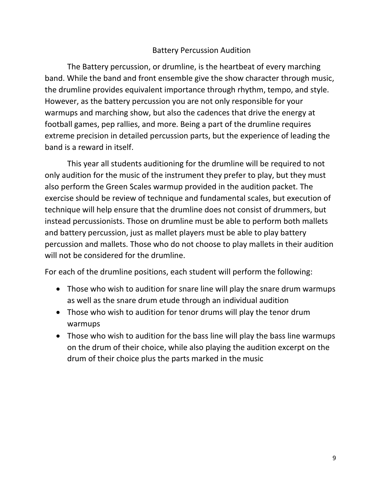#### Battery Percussion Audition

The Battery percussion, or drumline, is the heartbeat of every marching band. While the band and front ensemble give the show character through music, the drumline provides equivalent importance through rhythm, tempo, and style. However, as the battery percussion you are not only responsible for your warmups and marching show, but also the cadences that drive the energy at football games, pep rallies, and more. Being a part of the drumline requires extreme precision in detailed percussion parts, but the experience of leading the band is a reward in itself.

This year all students auditioning for the drumline will be required to not only audition for the music of the instrument they prefer to play, but they must also perform the Green Scales warmup provided in the audition packet. The exercise should be review of technique and fundamental scales, but execution of technique will help ensure that the drumline does not consist of drummers, but instead percussionists. Those on drumline must be able to perform both mallets and battery percussion, just as mallet players must be able to play battery percussion and mallets. Those who do not choose to play mallets in their audition will not be considered for the drumline.

For each of the drumline positions, each student will perform the following:

- Those who wish to audition for snare line will play the snare drum warmups as well as the snare drum etude through an individual audition
- Those who wish to audition for tenor drums will play the tenor drum warmups
- Those who wish to audition for the bass line will play the bass line warmups on the drum of their choice, while also playing the audition excerpt on the drum of their choice plus the parts marked in the music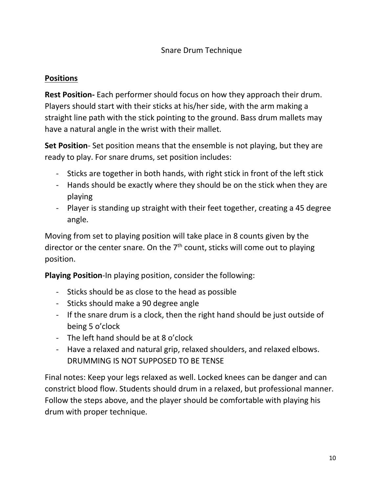#### **Positions**

**Rest Position-** Each performer should focus on how they approach their drum. Players should start with their sticks at his/her side, with the arm making a straight line path with the stick pointing to the ground. Bass drum mallets may have a natural angle in the wrist with their mallet.

**Set Position**- Set position means that the ensemble is not playing, but they are ready to play. For snare drums, set position includes:

- Sticks are together in both hands, with right stick in front of the left stick
- Hands should be exactly where they should be on the stick when they are playing
- Player is standing up straight with their feet together, creating a 45 degree angle.

Moving from set to playing position will take place in 8 counts given by the director or the center snare. On the  $7<sup>th</sup>$  count, sticks will come out to playing position.

**Playing Position**-In playing position, consider the following:

- Sticks should be as close to the head as possible
- Sticks should make a 90 degree angle
- If the snare drum is a clock, then the right hand should be just outside of being 5 o'clock
- The left hand should be at 8 o'clock
- Have a relaxed and natural grip, relaxed shoulders, and relaxed elbows. DRUMMING IS NOT SUPPOSED TO BE TENSE

Final notes: Keep your legs relaxed as well. Locked knees can be danger and can constrict blood flow. Students should drum in a relaxed, but professional manner. Follow the steps above, and the player should be comfortable with playing his drum with proper technique.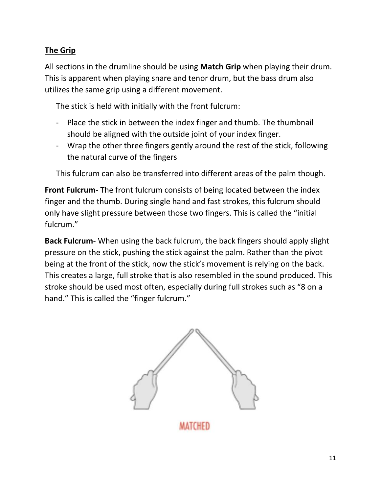#### **The Grip**

All sections in the drumline should be using **Match Grip** when playing their drum. This is apparent when playing snare and tenor drum, but the bass drum also utilizes the same grip using a different movement.

The stick is held with initially with the front fulcrum:

- Place the stick in between the index finger and thumb. The thumbnail should be aligned with the outside joint of your index finger.
- Wrap the other three fingers gently around the rest of the stick, following the natural curve of the fingers

This fulcrum can also be transferred into different areas of the palm though.

**Front Fulcrum**- The front fulcrum consists of being located between the index finger and the thumb. During single hand and fast strokes, this fulcrum should only have slight pressure between those two fingers. This is called the "initial fulcrum."

**Back Fulcrum**- When using the back fulcrum, the back fingers should apply slight pressure on the stick, pushing the stick against the palm. Rather than the pivot being at the front of the stick, now the stick's movement is relying on the back. This creates a large, full stroke that is also resembled in the sound produced. This stroke should be used most often, especially during full strokes such as "8 on a hand." This is called the "finger fulcrum."



MATCHED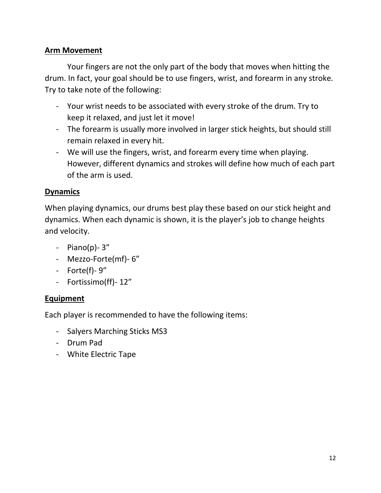#### **Arm Movement**

Your fingers are not the only part of the body that moves when hitting the drum. In fact, your goal should be to use fingers, wrist, and forearm in any stroke. Try to take note of the following:

- Your wrist needs to be associated with every stroke of the drum. Try to keep it relaxed, and just let it move!
- The forearm is usually more involved in larger stick heights, but should still remain relaxed in every hit.
- We will use the fingers, wrist, and forearm every time when playing. However, different dynamics and strokes will define how much of each part of the arm is used.

#### **Dynamics**

When playing dynamics, our drums best play these based on our stick height and dynamics. When each dynamic is shown, it is the player's job to change heights and velocity.

- $-$  Piano(p) $-3$ "
- Mezzo-Forte(mf)- 6"
- Forte(f)- 9"
- Fortissimo(ff)- 12"

#### **Equipment**

Each player is recommended to have the following items:

- Salyers Marching Sticks MS3
- Drum Pad
- White Electric Tape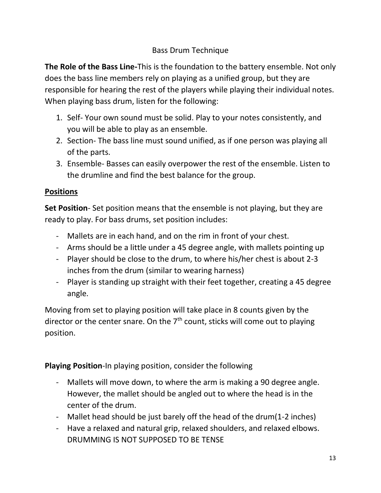#### Bass Drum Technique

**The Role of the Bass Line-**This is the foundation to the battery ensemble. Not only does the bass line members rely on playing as a unified group, but they are responsible for hearing the rest of the players while playing their individual notes. When playing bass drum, listen for the following:

- 1. Self- Your own sound must be solid. Play to your notes consistently, and you will be able to play as an ensemble.
- 2. Section- The bass line must sound unified, as if one person was playing all of the parts.
- 3. Ensemble- Basses can easily overpower the rest of the ensemble. Listen to the drumline and find the best balance for the group.

#### **Positions**

**Set Position**- Set position means that the ensemble is not playing, but they are ready to play. For bass drums, set position includes:

- Mallets are in each hand, and on the rim in front of your chest.
- Arms should be a little under a 45 degree angle, with mallets pointing up
- Player should be close to the drum, to where his/her chest is about 2-3 inches from the drum (similar to wearing harness)
- Player is standing up straight with their feet together, creating a 45 degree angle.

Moving from set to playing position will take place in 8 counts given by the director or the center snare. On the 7<sup>th</sup> count, sticks will come out to playing position.

**Playing Position**-In playing position, consider the following

- Mallets will move down, to where the arm is making a 90 degree angle. However, the mallet should be angled out to where the head is in the center of the drum.
- Mallet head should be just barely off the head of the drum(1-2 inches)
- Have a relaxed and natural grip, relaxed shoulders, and relaxed elbows. DRUMMING IS NOT SUPPOSED TO BE TENSE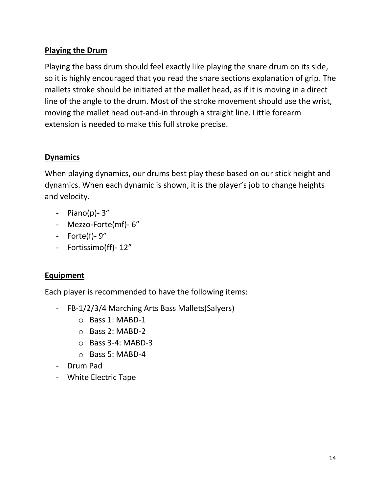#### **Playing the Drum**

Playing the bass drum should feel exactly like playing the snare drum on its side, so it is highly encouraged that you read the snare sections explanation of grip. The mallets stroke should be initiated at the mallet head, as if it is moving in a direct line of the angle to the drum. Most of the stroke movement should use the wrist, moving the mallet head out-and-in through a straight line. Little forearm extension is needed to make this full stroke precise.

#### **Dynamics**

When playing dynamics, our drums best play these based on our stick height and dynamics. When each dynamic is shown, it is the player's job to change heights and velocity.

- $-$  Piano(p) $-3$ "
- Mezzo-Forte(mf)- 6"
- Forte(f)- 9"
- Fortissimo(ff)- 12"

#### **Equipment**

Each player is recommended to have the following items:

- FB-1/2/3/4 Marching Arts Bass Mallets(Salyers)
	- o Bass 1: MABD-1
	- o Bass 2: MABD-2
	- o Bass 3-4: MABD-3
	- o Bass 5: MABD-4
- Drum Pad
- White Electric Tape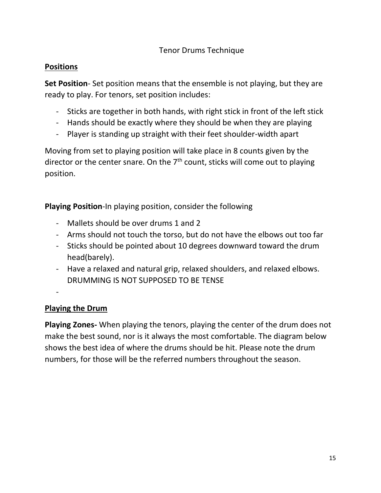#### **Positions**

**Set Position**- Set position means that the ensemble is not playing, but they are ready to play. For tenors, set position includes:

- Sticks are together in both hands, with right stick in front of the left stick
- Hands should be exactly where they should be when they are playing
- Player is standing up straight with their feet shoulder-width apart

Moving from set to playing position will take place in 8 counts given by the director or the center snare. On the  $7<sup>th</sup>$  count, sticks will come out to playing position.

**Playing Position**-In playing position, consider the following

- Mallets should be over drums 1 and 2
- Arms should not touch the torso, but do not have the elbows out too far
- Sticks should be pointed about 10 degrees downward toward the drum head(barely).
- Have a relaxed and natural grip, relaxed shoulders, and relaxed elbows. DRUMMING IS NOT SUPPOSED TO BE TENSE

-

#### **Playing the Drum**

**Playing Zones-** When playing the tenors, playing the center of the drum does not make the best sound, nor is it always the most comfortable. The diagram below shows the best idea of where the drums should be hit. Please note the drum numbers, for those will be the referred numbers throughout the season.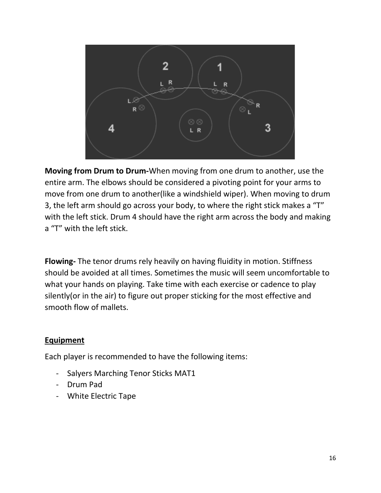

**Moving from Drum to Drum-**When moving from one drum to another, use the entire arm. The elbows should be considered a pivoting point for your arms to move from one drum to another(like a windshield wiper). When moving to drum 3, the left arm should go across your body, to where the right stick makes a "T" with the left stick. Drum 4 should have the right arm across the body and making a "T" with the left stick.

**Flowing-** The tenor drums rely heavily on having fluidity in motion. Stiffness should be avoided at all times. Sometimes the music will seem uncomfortable to what your hands on playing. Take time with each exercise or cadence to play silently(or in the air) to figure out proper sticking for the most effective and smooth flow of mallets.

#### **Equipment**

Each player is recommended to have the following items:

- Salyers Marching Tenor Sticks MAT1
- Drum Pad
- White Electric Tape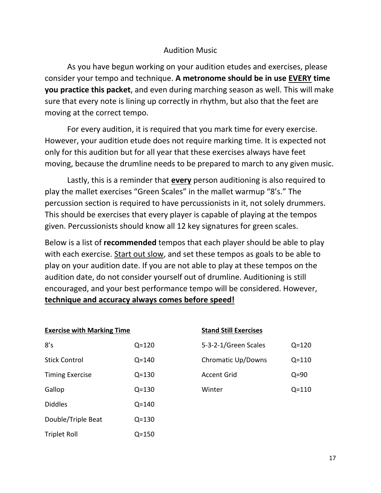#### Audition Music

As you have begun working on your audition etudes and exercises, please consider your tempo and technique. **A metronome should be in use EVERY time you practice this packet**, and even during marching season as well. This will make sure that every note is lining up correctly in rhythm, but also that the feet are moving at the correct tempo.

For every audition, it is required that you mark time for every exercise. However, your audition etude does not require marking time. It is expected not only for this audition but for all year that these exercises always have feet moving, because the drumline needs to be prepared to march to any given music.

Lastly, this is a reminder that **every** person auditioning is also required to play the mallet exercises "Green Scales" in the mallet warmup "8's." The percussion section is required to have percussionists in it, not solely drummers. This should be exercises that every player is capable of playing at the tempos given. Percussionists should know all 12 key signatures for green scales.

Below is a list of **recommended** tempos that each player should be able to play with each exercise. Start out slow, and set these tempos as goals to be able to play on your audition date. If you are not able to play at these tempos on the audition date, do not consider yourself out of drumline. Auditioning is still encouraged, and your best performance tempo will be considered. However, **technique and accuracy always comes before speed!**

| <b>Exercise with Marking Time</b> |           |    |  |
|-----------------------------------|-----------|----|--|
| 8's                               | $Q = 120$ | 5- |  |
| <b>Stick Control</b>              | $Q = 140$ | Cł |  |
| <b>Timing Exercise</b>            | $Q = 130$ | A٥ |  |
| Gallop                            | $Q = 130$ | W  |  |
| <b>Diddles</b>                    | $Q = 140$ |    |  |
| Double/Triple Beat                | $Q = 130$ |    |  |
| <b>Triplet Roll</b>               | $Q = 150$ |    |  |

|  | <b>Stand Still Exercises</b> |
|--|------------------------------|
|  |                              |

| 5-3-2-1/Green Scales | $Q = 120$ |
|----------------------|-----------|
| Chromatic Up/Downs   | Q=110     |
| Accent Grid          | $Q = 90$  |
| Winter               | O=110     |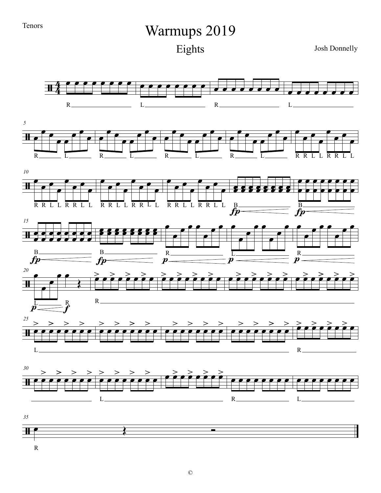## Warmups 2019

Eights

Josh Donnelly



R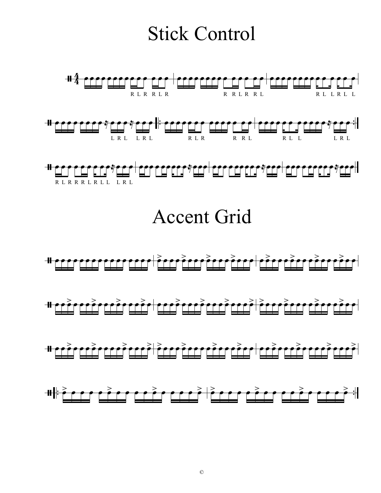## Stick Control

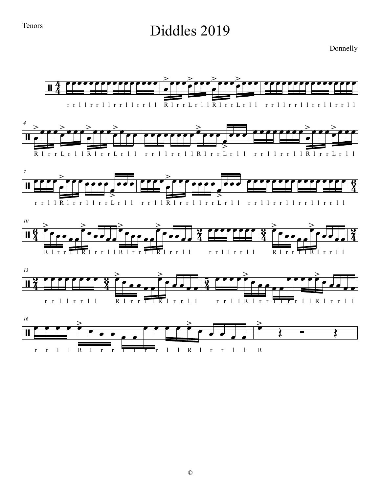### Diddles 2019

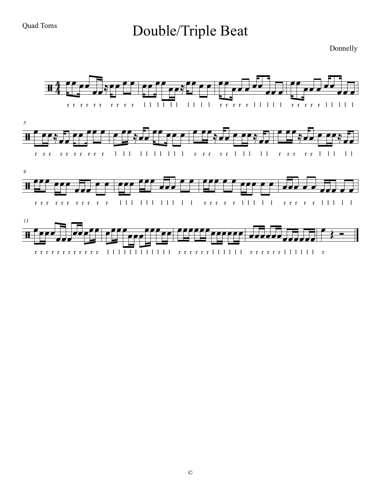## Double/Triple Beat

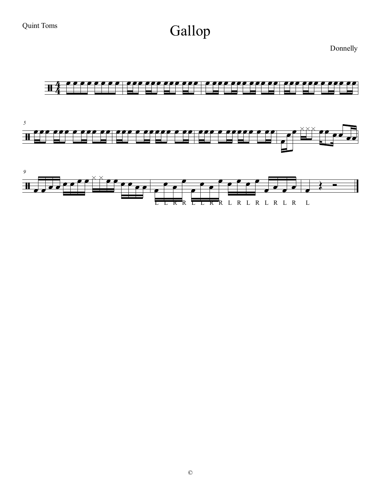## Gallop

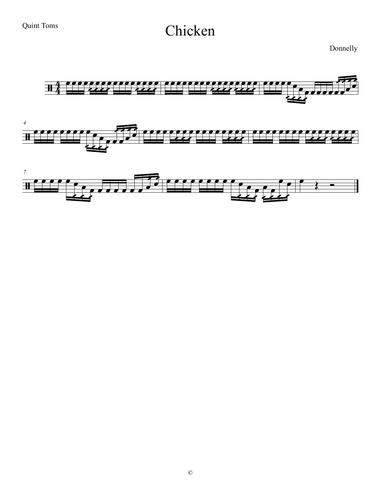## Chicken

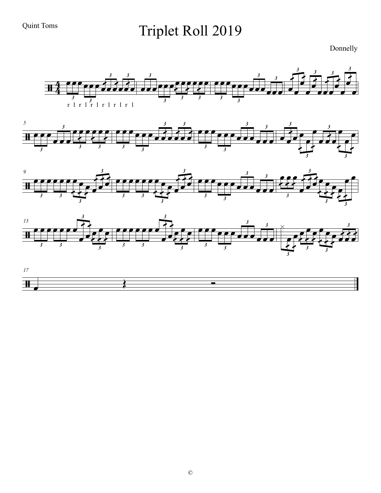## Triplet Roll 2019

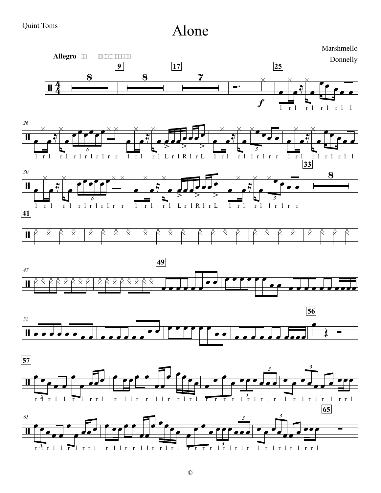#### Quint Toms

Alone

Marshmello